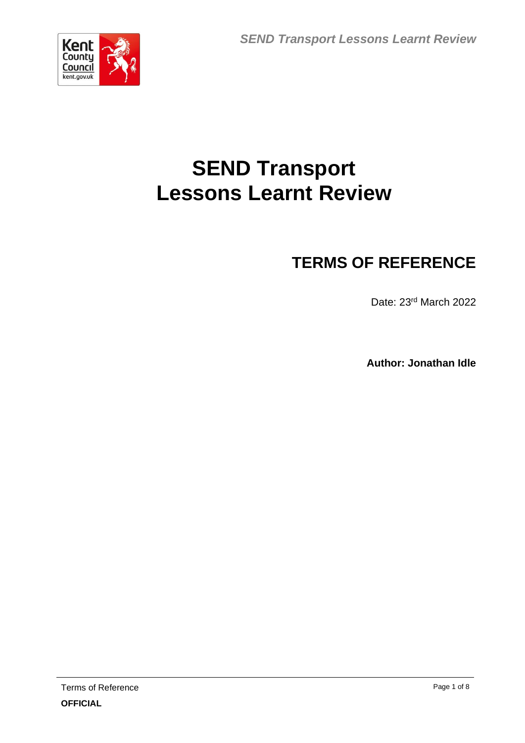

# **SEND Transport Lessons Learnt Review**

## **TERMS OF REFERENCE**

Date: 23rd March 2022

**Author: Jonathan Idle**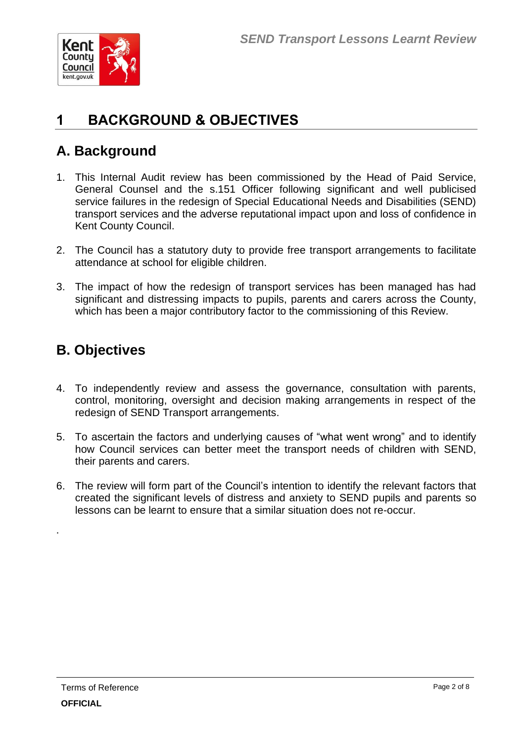

### **1 BACKGROUND & OBJECTIVES**

### **A. Background**

- 1. This Internal Audit review has been commissioned by the Head of Paid Service, General Counsel and the s.151 Officer following significant and well publicised service failures in the redesign of Special Educational Needs and Disabilities (SEND) transport services and the adverse reputational impact upon and loss of confidence in Kent County Council.
- 2. The Council has a statutory duty to provide free transport arrangements to facilitate attendance at school for eligible children.
- 3. The impact of how the redesign of transport services has been managed has had significant and distressing impacts to pupils, parents and carers across the County, which has been a major contributory factor to the commissioning of this Review.

### **B. Objectives**

- 4. To independently review and assess the governance, consultation with parents, control, monitoring, oversight and decision making arrangements in respect of the redesign of SEND Transport arrangements.
- 5. To ascertain the factors and underlying causes of "what went wrong" and to identify how Council services can better meet the transport needs of children with SEND, their parents and carers.
- 6. The review will form part of the Council's intention to identify the relevant factors that created the significant levels of distress and anxiety to SEND pupils and parents so lessons can be learnt to ensure that a similar situation does not re-occur.

.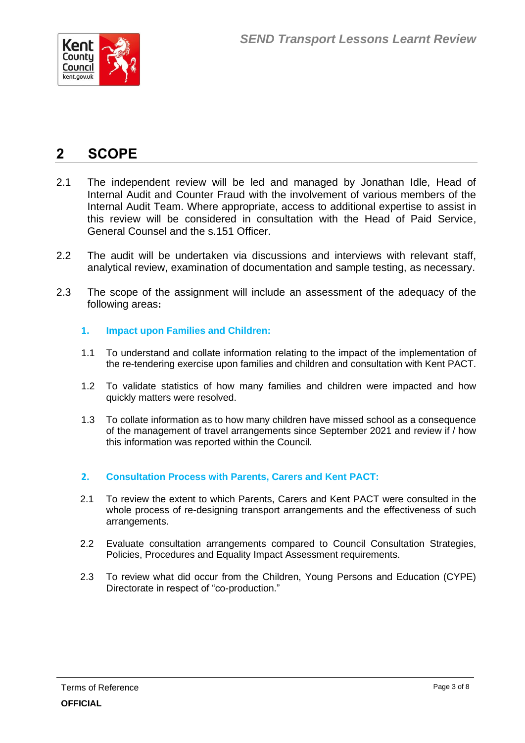

### **2 SCOPE**

- 2.1 The independent review will be led and managed by Jonathan Idle, Head of Internal Audit and Counter Fraud with the involvement of various members of the Internal Audit Team. Where appropriate, access to additional expertise to assist in this review will be considered in consultation with the Head of Paid Service, General Counsel and the s.151 Officer.
- 2.2 The audit will be undertaken via discussions and interviews with relevant staff, analytical review, examination of documentation and sample testing, as necessary.
- 2.3 The scope of the assignment will include an assessment of the adequacy of the following areas**:**

#### **1. Impact upon Families and Children:**

- 1.1 To understand and collate information relating to the impact of the implementation of the re-tendering exercise upon families and children and consultation with Kent PACT.
- 1.2 To validate statistics of how many families and children were impacted and how quickly matters were resolved.
- 1.3 To collate information as to how many children have missed school as a consequence of the management of travel arrangements since September 2021 and review if / how this information was reported within the Council.

#### **2. Consultation Process with Parents, Carers and Kent PACT:**

- 2.1 To review the extent to which Parents, Carers and Kent PACT were consulted in the whole process of re-designing transport arrangements and the effectiveness of such arrangements.
- 2.2 Evaluate consultation arrangements compared to Council Consultation Strategies, Policies, Procedures and Equality Impact Assessment requirements.
- 2.3 To review what did occur from the Children, Young Persons and Education (CYPE) Directorate in respect of "co-production."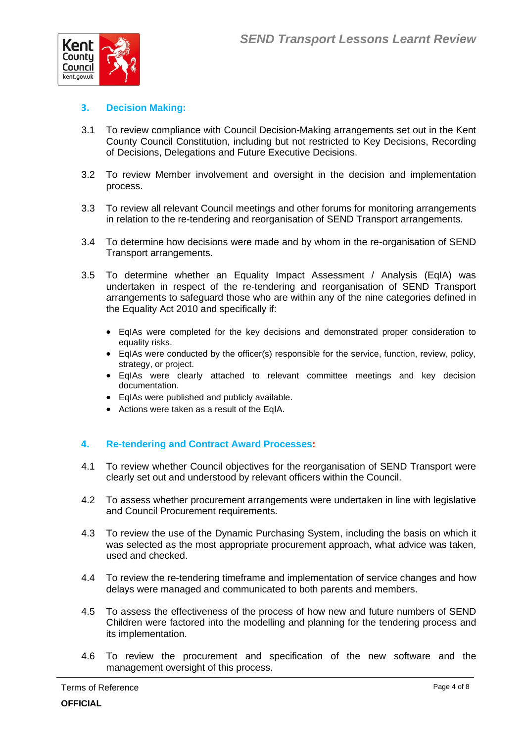

#### **3. Decision Making:**

- 3.1 To review compliance with Council Decision-Making arrangements set out in the Kent County Council Constitution, including but not restricted to Key Decisions, Recording of Decisions, Delegations and Future Executive Decisions.
- 3.2 To review Member involvement and oversight in the decision and implementation process.
- 3.3 To review all relevant Council meetings and other forums for monitoring arrangements in relation to the re-tendering and reorganisation of SEND Transport arrangements.
- 3.4 To determine how decisions were made and by whom in the re-organisation of SEND Transport arrangements.
- 3.5 To determine whether an Equality Impact Assessment / Analysis (EqIA) was undertaken in respect of the re-tendering and reorganisation of SEND Transport arrangements to safeguard those who are within any of the nine categories defined in the Equality Act 2010 and specifically if:
	- EqIAs were completed for the key decisions and demonstrated proper consideration to equality risks.
	- EqIAs were conducted by the officer(s) responsible for the service, function, review, policy, strategy, or project.
	- EqIAs were clearly attached to relevant committee meetings and key decision documentation.
	- EqIAs were published and publicly available.
	- Actions were taken as a result of the EqIA.

#### **4. Re-tendering and Contract Award Processes:**

- 4.1 To review whether Council objectives for the reorganisation of SEND Transport were clearly set out and understood by relevant officers within the Council.
- 4.2 To assess whether procurement arrangements were undertaken in line with legislative and Council Procurement requirements.
- 4.3 To review the use of the Dynamic Purchasing System, including the basis on which it was selected as the most appropriate procurement approach, what advice was taken, used and checked.
- 4.4 To review the re-tendering timeframe and implementation of service changes and how delays were managed and communicated to both parents and members.
- 4.5 To assess the effectiveness of the process of how new and future numbers of SEND Children were factored into the modelling and planning for the tendering process and its implementation.
- 4.6 To review the procurement and specification of the new software and the management oversight of this process.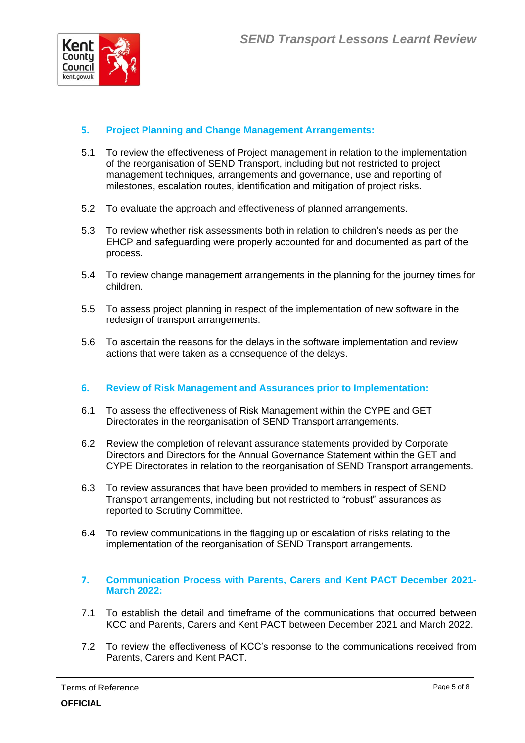

#### **5. Project Planning and Change Management Arrangements:**

- 5.1 To review the effectiveness of Project management in relation to the implementation of the reorganisation of SEND Transport, including but not restricted to project management techniques, arrangements and governance, use and reporting of milestones, escalation routes, identification and mitigation of project risks.
- 5.2 To evaluate the approach and effectiveness of planned arrangements.
- 5.3 To review whether risk assessments both in relation to children's needs as per the EHCP and safeguarding were properly accounted for and documented as part of the process.
- 5.4 To review change management arrangements in the planning for the journey times for children.
- 5.5 To assess project planning in respect of the implementation of new software in the redesign of transport arrangements.
- 5.6 To ascertain the reasons for the delays in the software implementation and review actions that were taken as a consequence of the delays.

#### **6. Review of Risk Management and Assurances prior to Implementation:**

- 6.1 To assess the effectiveness of Risk Management within the CYPE and GET Directorates in the reorganisation of SEND Transport arrangements.
- 6.2 Review the completion of relevant assurance statements provided by Corporate Directors and Directors for the Annual Governance Statement within the GET and CYPE Directorates in relation to the reorganisation of SEND Transport arrangements.
- 6.3 To review assurances that have been provided to members in respect of SEND Transport arrangements, including but not restricted to "robust" assurances as reported to Scrutiny Committee.
- 6.4 To review communications in the flagging up or escalation of risks relating to the implementation of the reorganisation of SEND Transport arrangements.
- **7. Communication Process with Parents, Carers and Kent PACT December 2021- March 2022:**
- 7.1 To establish the detail and timeframe of the communications that occurred between KCC and Parents, Carers and Kent PACT between December 2021 and March 2022.
- 7.2 To review the effectiveness of KCC's response to the communications received from Parents, Carers and Kent PACT.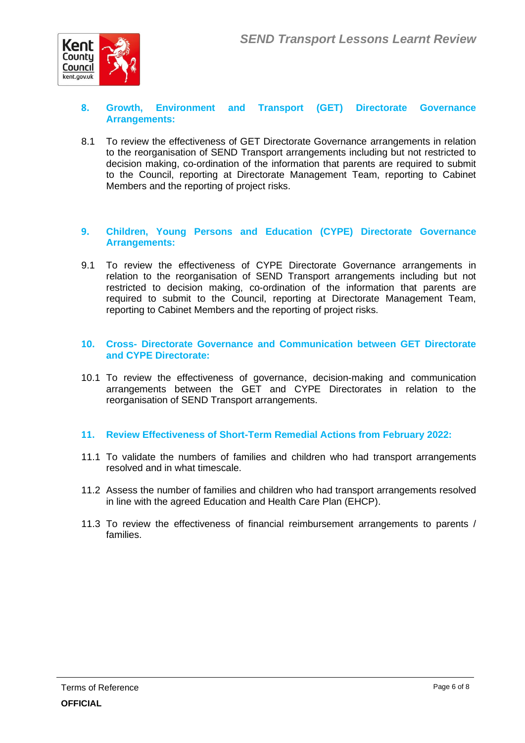

#### **8. Growth, Environment and Transport (GET) Directorate Governance Arrangements:**

8.1 To review the effectiveness of GET Directorate Governance arrangements in relation to the reorganisation of SEND Transport arrangements including but not restricted to decision making, co-ordination of the information that parents are required to submit to the Council, reporting at Directorate Management Team, reporting to Cabinet Members and the reporting of project risks.

#### **9. Children, Young Persons and Education (CYPE) Directorate Governance Arrangements:**

9.1 To review the effectiveness of CYPE Directorate Governance arrangements in relation to the reorganisation of SEND Transport arrangements including but not restricted to decision making, co-ordination of the information that parents are required to submit to the Council, reporting at Directorate Management Team, reporting to Cabinet Members and the reporting of project risks.

#### **10. Cross- Directorate Governance and Communication between GET Directorate and CYPE Directorate:**

10.1 To review the effectiveness of governance, decision-making and communication arrangements between the GET and CYPE Directorates in relation to the reorganisation of SEND Transport arrangements.

#### **11. Review Effectiveness of Short-Term Remedial Actions from February 2022:**

- 11.1 To validate the numbers of families and children who had transport arrangements resolved and in what timescale.
- 11.2 Assess the number of families and children who had transport arrangements resolved in line with the agreed Education and Health Care Plan (EHCP).
- 11.3 To review the effectiveness of financial reimbursement arrangements to parents / families.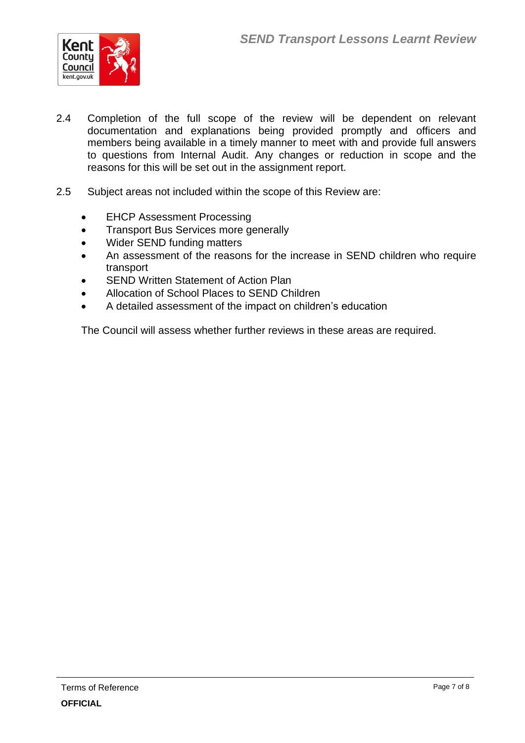

- 2.4 Completion of the full scope of the review will be dependent on relevant documentation and explanations being provided promptly and officers and members being available in a timely manner to meet with and provide full answers to questions from Internal Audit. Any changes or reduction in scope and the reasons for this will be set out in the assignment report.
- 2.5 Subject areas not included within the scope of this Review are:
	- **EHCP Assessment Processing**
	- Transport Bus Services more generally
	- Wider SEND funding matters
	- An assessment of the reasons for the increase in SEND children who require transport
	- **SEND Written Statement of Action Plan**
	- Allocation of School Places to SEND Children
	- A detailed assessment of the impact on children's education

The Council will assess whether further reviews in these areas are required.